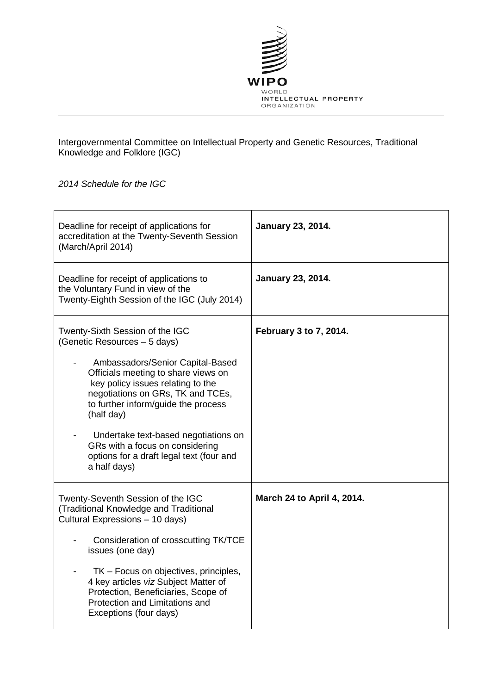

Intergovernmental Committee on Intellectual Property and Genetic Resources, Traditional Knowledge and Folklore (IGC)

## *2014 Schedule for the IGC*

| Deadline for receipt of applications for<br>accreditation at the Twenty-Seventh Session<br>(March/April 2014)                                                                                                                                                                                                                                                                                                    | <b>January 23, 2014.</b>   |
|------------------------------------------------------------------------------------------------------------------------------------------------------------------------------------------------------------------------------------------------------------------------------------------------------------------------------------------------------------------------------------------------------------------|----------------------------|
| Deadline for receipt of applications to<br>the Voluntary Fund in view of the<br>Twenty-Eighth Session of the IGC (July 2014)                                                                                                                                                                                                                                                                                     | <b>January 23, 2014.</b>   |
| Twenty-Sixth Session of the IGC<br>(Genetic Resources - 5 days)<br>Ambassadors/Senior Capital-Based<br>Officials meeting to share views on<br>key policy issues relating to the<br>negotiations on GRs, TK and TCEs,<br>to further inform/guide the process<br>(half day)<br>Undertake text-based negotiations on<br>GRs with a focus on considering<br>options for a draft legal text (four and<br>a half days) | February 3 to 7, 2014.     |
| Twenty-Seventh Session of the IGC<br>(Traditional Knowledge and Traditional<br>Cultural Expressions - 10 days)<br>Consideration of crosscutting TK/TCE<br>issues (one day)<br>TK - Focus on objectives, principles,<br>4 key articles viz Subject Matter of<br>Protection, Beneficiaries, Scope of<br>Protection and Limitations and<br>Exceptions (four days)                                                   | March 24 to April 4, 2014. |